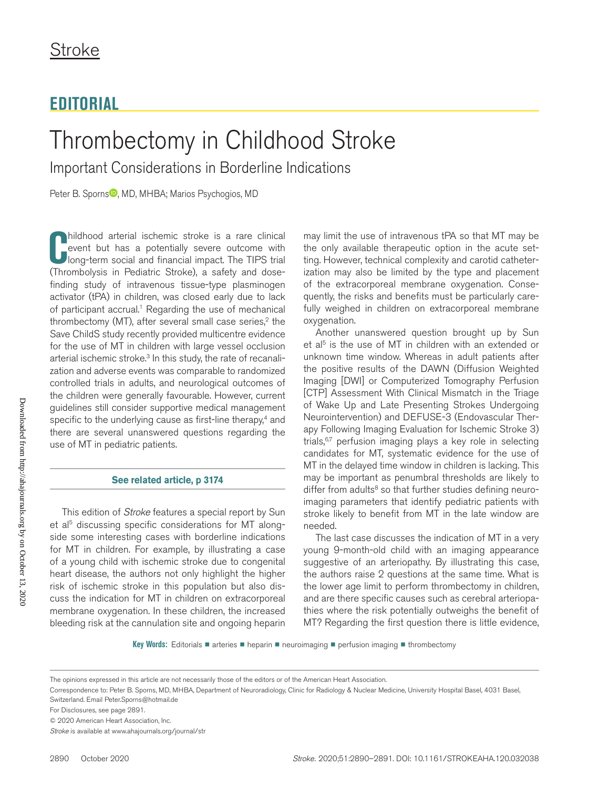# **EDITORIAL**

# Thrombectomy in Childhood Stroke

Important Considerations in Borderline Indications

Peter B. Sporn[s](https://orcid.org/0000-0002-3028-0539)<sup>10</sup>, MD, MHBA; Marios Psychogios, MD

**C** (Thrombolysis in Pediatric Stroke), a safety and dosehildhood arterial ischemic stroke is a rare clinical event but has a potentially severe outcome with long-term social and financial impact. The TIPS trial finding study of intravenous tissue-type plasminogen activator (tPA) in children, was closed early due to lack of participant accrual.<sup>1</sup> Regarding the use of mechanical thrombectomy (MT), after several small case series, $2$  the Save ChildS study recently provided multicentre evidence for the use of MT in children with large vessel occlusion arterial ischemic stroke.<sup>3</sup> In this study, the rate of recanalization and adverse events was comparable to randomized controlled trials in adults, and neurological outcomes of the children were generally favourable. However, current guidelines still consider supportive medical management specific to the underlying cause as first-line therapy, $4$  and there are several unanswered questions regarding the use of MT in pediatric patients.

# **[See related article, p 3174](https://www.ahajournals.org/journal/str/10.1161/STROKEAHA.120.029698)**

This edition of *Stroke* features a special report by Sun et al<sup>5</sup> discussing specific considerations for MT alongside some interesting cases with borderline indications for MT in children. For example, by illustrating a case of a young child with ischemic stroke due to congenital heart disease, the authors not only highlight the higher risk of ischemic stroke in this population but also discuss the indication for MT in children on extracorporeal membrane oxygenation. In these children, the increased bleeding risk at the cannulation site and ongoing heparin may limit the use of intravenous tPA so that MT may be the only available therapeutic option in the acute setting. However, technical complexity and carotid catheterization may also be limited by the type and placement of the extracorporeal membrane oxygenation. Consequently, the risks and benefits must be particularly carefully weighed in children on extracorporeal membrane oxygenation.

Another unanswered question brought up by Sun et al<sup>5</sup> is the use of MT in children with an extended or unknown time window. Whereas in adult patients after the positive results of the DAWN (Diffusion Weighted Imaging [DWI] or Computerized Tomography Perfusion [CTP] Assessment With Clinical Mismatch in the Triage of Wake Up and Late Presenting Strokes Undergoing Neurointervention) and DEFUSE-3 (Endovascular Therapy Following Imaging Evaluation for Ischemic Stroke 3) trials,<sup>6,7</sup> perfusion imaging plays a key role in selecting candidates for MT, systematic evidence for the use of MT in the delayed time window in children is lacking. This may be important as penumbral thresholds are likely to differ from adults<sup>8</sup> so that further studies defining neuroimaging parameters that identify pediatric patients with stroke likely to benefit from MT in the late window are needed.

The last case discusses the indication of MT in a very young 9-month-old child with an imaging appearance suggestive of an arteriopathy. By illustrating this case, the authors raise 2 questions at the same time. What is the lower age limit to perform thrombectomy in children, and are there specific causes such as cerebral arteriopathies where the risk potentially outweighs the benefit of MT? Regarding the first question there is little evidence,

**Key Words:** Editorials ■ arteries ■ heparin ■ neuroimaging ■ perfusion imaging ■ thrombectomy

The opinions expressed in this article are not necessarily those of the editors or of the American Heart Association.

Correspondence to: Peter B. Sporns, MD, MHBA, Department of Neuroradiology, Clinic for Radiology & Nuclear Medicine, University Hospital Basel, 4031 Basel, Switzerland. Email [Peter.Sporns@hotmail.de](mailto:Peter.Sporns@hotmail.de)

For Disclosures, see page 2891.

<sup>© 2020</sup> American Heart Association, Inc.

*Stroke* is available at www.ahajournals.org/journal/str